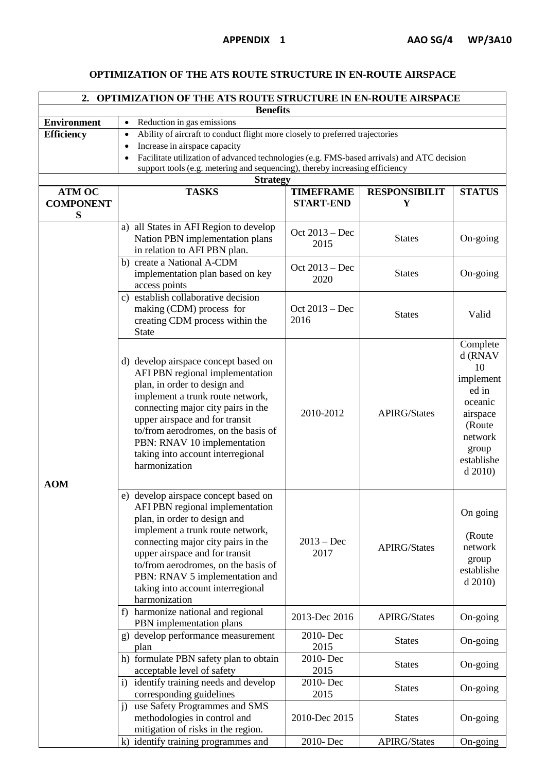## **OPTIMIZATION OF THE ATS ROUTE STRUCTURE IN EN-ROUTE AIRSPACE**

| 2. OPTIMIZATION OF THE ATS ROUTE STRUCTURE IN EN-ROUTE AIRSPACE |                                                                                                               |                      |                      |                    |  |  |  |
|-----------------------------------------------------------------|---------------------------------------------------------------------------------------------------------------|----------------------|----------------------|--------------------|--|--|--|
| <b>Benefits</b>                                                 |                                                                                                               |                      |                      |                    |  |  |  |
| <b>Environment</b>                                              | Reduction in gas emissions<br>$\bullet$                                                                       |                      |                      |                    |  |  |  |
| <b>Efficiency</b>                                               | Ability of aircraft to conduct flight more closely to preferred trajectories<br>Increase in airspace capacity |                      |                      |                    |  |  |  |
|                                                                 | Facilitate utilization of advanced technologies (e.g. FMS-based arrivals) and ATC decision                    |                      |                      |                    |  |  |  |
|                                                                 | support tools (e.g. metering and sequencing), thereby increasing efficiency                                   |                      |                      |                    |  |  |  |
| <b>Strategy</b>                                                 |                                                                                                               |                      |                      |                    |  |  |  |
| <b>ATM OC</b>                                                   | <b>TASKS</b>                                                                                                  | <b>TIMEFRAME</b>     | <b>RESPONSIBILIT</b> | <b>STATUS</b>      |  |  |  |
| <b>COMPONENT</b>                                                |                                                                                                               | <b>START-END</b>     | Y                    |                    |  |  |  |
| S                                                               |                                                                                                               |                      |                      |                    |  |  |  |
|                                                                 | a) all States in AFI Region to develop                                                                        | Oct 2013 – Dec       |                      |                    |  |  |  |
|                                                                 | Nation PBN implementation plans                                                                               | 2015                 | <b>States</b>        | On-going           |  |  |  |
|                                                                 | in relation to AFI PBN plan.                                                                                  |                      |                      |                    |  |  |  |
|                                                                 | b) create a National A-CDM                                                                                    | Oct 2013 – Dec       |                      |                    |  |  |  |
|                                                                 | implementation plan based on key<br>access points                                                             | 2020                 | <b>States</b>        | On-going           |  |  |  |
|                                                                 | c) establish collaborative decision                                                                           |                      |                      |                    |  |  |  |
|                                                                 | making (CDM) process for                                                                                      | Oct 2013 – Dec       |                      |                    |  |  |  |
|                                                                 | creating CDM process within the                                                                               | 2016                 | <b>States</b>        | Valid              |  |  |  |
|                                                                 | <b>State</b>                                                                                                  |                      |                      |                    |  |  |  |
|                                                                 |                                                                                                               |                      |                      | Complete           |  |  |  |
|                                                                 | d) develop airspace concept based on                                                                          |                      |                      | d (RNAV            |  |  |  |
|                                                                 | AFI PBN regional implementation                                                                               |                      |                      | 10                 |  |  |  |
|                                                                 | plan, in order to design and                                                                                  |                      |                      | implement          |  |  |  |
|                                                                 | implement a trunk route network,                                                                              |                      |                      | ed in              |  |  |  |
|                                                                 | connecting major city pairs in the                                                                            | 2010-2012            | <b>APIRG/States</b>  | oceanic            |  |  |  |
|                                                                 | upper airspace and for transit                                                                                |                      |                      | airspace<br>(Route |  |  |  |
|                                                                 | to/from aerodromes, on the basis of                                                                           |                      |                      | network            |  |  |  |
|                                                                 | PBN: RNAV 10 implementation                                                                                   |                      |                      | group              |  |  |  |
|                                                                 | taking into account interregional<br>harmonization                                                            |                      |                      | establishe         |  |  |  |
|                                                                 |                                                                                                               |                      |                      | d 2010             |  |  |  |
| <b>AOM</b>                                                      |                                                                                                               |                      |                      |                    |  |  |  |
|                                                                 | e) develop airspace concept based on                                                                          |                      |                      |                    |  |  |  |
|                                                                 | AFI PBN regional implementation                                                                               | $2013 - Dec$<br>2017 | <b>APIRG/States</b>  | On going           |  |  |  |
|                                                                 | plan, in order to design and                                                                                  |                      |                      |                    |  |  |  |
|                                                                 | implement a trunk route network,                                                                              |                      |                      | (Route             |  |  |  |
|                                                                 | connecting major city pairs in the<br>upper airspace and for transit                                          |                      |                      | network            |  |  |  |
|                                                                 | to/from aerodromes, on the basis of                                                                           |                      |                      | group              |  |  |  |
|                                                                 | PBN: RNAV 5 implementation and                                                                                |                      |                      | establishe         |  |  |  |
|                                                                 | taking into account interregional                                                                             |                      |                      | d 2010             |  |  |  |
|                                                                 | harmonization                                                                                                 |                      |                      |                    |  |  |  |
|                                                                 | f) harmonize national and regional                                                                            | 2013-Dec 2016        | <b>APIRG/States</b>  | On-going           |  |  |  |
|                                                                 | PBN implementation plans                                                                                      |                      |                      |                    |  |  |  |
|                                                                 | g) develop performance measurement                                                                            | 2010-Dec             | <b>States</b>        | On-going           |  |  |  |
|                                                                 | plan                                                                                                          | 2015                 |                      |                    |  |  |  |
|                                                                 | h) formulate PBN safety plan to obtain                                                                        | 2010-Dec             | <b>States</b>        | On-going           |  |  |  |
|                                                                 | acceptable level of safety<br>i) identify training needs and develop                                          | 2015<br>2010-Dec     |                      |                    |  |  |  |
|                                                                 | corresponding guidelines                                                                                      | 2015                 | <b>States</b>        | On-going           |  |  |  |
|                                                                 | j) use Safety Programmes and SMS                                                                              |                      |                      |                    |  |  |  |
|                                                                 | methodologies in control and                                                                                  | 2010-Dec 2015        | <b>States</b>        | On-going           |  |  |  |
|                                                                 | mitigation of risks in the region.                                                                            |                      |                      |                    |  |  |  |
|                                                                 | k) identify training programmes and                                                                           | 2010-Dec             | APIRG/States         | On-going           |  |  |  |